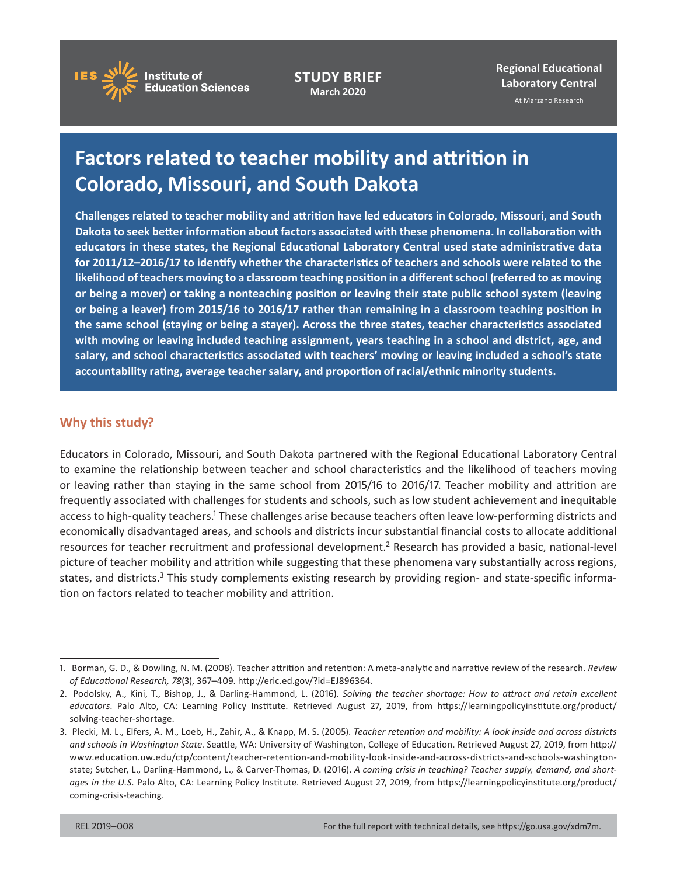

**STUDY BRIEF March 2020**

**Regional Educational Laboratory Central**  At Marzano Research

# **Factors related to teacher mobility and attrition in Colorado, Missouri, and South Dakota**

**– for 2011/12 2016/17 to identify whether the characteristics of teachers and schools were related to the Challenges related to teacher mobility and attrition have led educators in Colorado, Missouri, and South Dakota to seek better information about factors associated with these phenomena. In collaboration with educators in these states, the Regional Educational Laboratory Central used state administrative data likelihood of teachers moving to a classroom teaching position in a different school (referred to as moving or being a mover) or taking a nonteaching position or leaving their state public school system (leaving or being a leaver) from 2015/16 to 2016/17 rather than remaining in a classroom teaching position in the same school (staying or being a stayer). Across the three states, teacher characteristics associated with moving or leaving included teaching assignment, years teaching in a school and district, age, and salary, and school characteristics associated with teachers' moving or leaving included a school's state accountability rating, average teacher salary, and proportion of racial/ethnic minority students.** 

# **Why this study?**

Educators in Colorado, Missouri, and South Dakota partnered with the Regional Educational Laboratory Central to examine the relationship between teacher and school characteristics and the likelihood of teachers moving or leaving rather than staying in the same school from 2015/16 to 2016/17. Teacher mobility and attrition are frequently associated with challenges for students and schools, such as low student achievement and inequitable access to high-quality teachers.1 These challenges arise because teachers often leave low-performing districts and economically disadvantaged areas, and schools and districts incur substantial financial costs to allocate additional resources for teacher recruitment and professional development.<sup>2</sup> Research has provided a basic, national-level picture of teacher mobility and attrition while suggesting that these phenomena vary substantially across regions, states, and districts.<sup>3</sup> This study complements existing research by providing region- and state-specific information on factors related to teacher mobility and attrition.

<sup>1.</sup> Borman, G. D., & Dowling, N. M. (2008). Teacher attrition and retention: A meta-analytic and narrative review of the research. Review *of Educational Research, 78*(3), 367–409.<http://eric.ed.gov/?id=EJ896364>.

<sup>2.</sup> Podolsky, A., Kini, T., Bishop, J., & Darling-Hammond, L. (2016). *Solving the teacher shortage: How to attract and retain excellent educators*. Palo Alto, CA: Learning Policy Institute. Retrieved August 27, 2019, from [https://learningpolicyinstitute.org/product/](https://learningpolicyinstitute.org/product/solving-teacher-shortage) [solving-teacher-shortage.](https://learningpolicyinstitute.org/product/solving-teacher-shortage)

<sup>3.</sup> Plecki, M. L., Elfers, A. M., Loeb, H., Zahir, A., & Knapp, M. S. (2005). *Teacher retention and mobility: A look inside and across districts and schools in Washington State*. Seattle, WA: University of Washington, College of Education. Retrieved August 27, 2019, from [http://](http://www.education.uw.edu/ctp/content/teacher-retention-and-mobility-look-inside-and-across-districts-and-schools-washington-state)  [www.education.uw.edu/ctp/content/teacher-retention-and-mobility-look-inside-and-across-districts-and-schools-washington](http://www.education.uw.edu/ctp/content/teacher-retention-and-mobility-look-inside-and-across-districts-and-schools-washington-state)[state;](http://www.education.uw.edu/ctp/content/teacher-retention-and-mobility-look-inside-and-across-districts-and-schools-washington-state) Sutcher, L., Darling-Hammond, L., & Carver-Thomas, D. (2016). *A coming crisis in teaching? Teacher supply, demand, and shortages in the U.S.* Palo Alto, CA: Learning Policy Institute. Retrieved August 27, 2019, from [https://learningpolicyinstitute.org/product/](https://learningpolicyinstitute.org/product/coming-crisis-teaching)  [coming-crisis-teaching](https://learningpolicyinstitute.org/product/coming-crisis-teaching).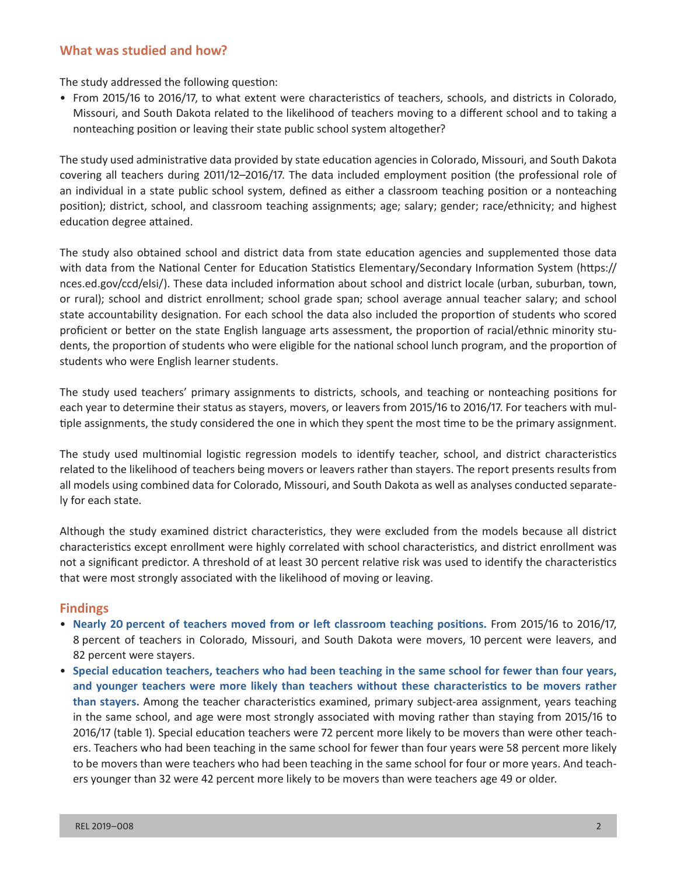### **What was studied and how?**

The study addressed the following question:

• From 2015/16 to 2016/17, to what extent were characteristics of teachers, schools, and districts in Colorado, Missouri, and South Dakota related to the likelihood of teachers moving to a different school and to taking a nonteaching position or leaving their state public school system altogether?

The study used administrative data provided by state education agencies in Colorado, Missouri, and South Dakota covering all teachers during 2011/12–2016/17. The data included employment position (the professional role of an individual in a state public school system, defined as either a classroom teaching position or a nonteaching position); district, school, and classroom teaching assignments; age; salary; gender; race/ethnicity; and highest education degree attained.

The study also obtained school and district data from state education agencies and supplemented those data with data from the National Center for Education Statistics Elementary/Secondary Information System [\(https://](https://nces.ed.gov/ccd/elsi/)  [nces.ed.gov/ccd/elsi/](https://nces.ed.gov/ccd/elsi/)). These data included information about school and district locale (urban, suburban, town, or rural); school and district enrollment; school grade span; school average annual teacher salary; and school state accountability designation. For each school the data also included the proportion of students who scored proficient or better on the state English language arts assessment, the proportion of racial/ethnic minority students, the proportion of students who were eligible for the national school lunch program, and the proportion of students who were English learner students.

The study used teachers' primary assignments to districts, schools, and teaching or nonteaching positions for each year to determine their status as stayers, movers, or leavers from 2015/16 to 2016/17. For teachers with multiple assignments, the study considered the one in which they spent the most time to be the primary assignment.

The study used multinomial logistic regression models to identify teacher, school, and district characteristics related to the likelihood of teachers being movers or leavers rather than stayers. The report presents results from all models using combined data for Colorado, Missouri, and South Dakota as well as analyses conducted separately for each state.

Although the study examined district characteristics, they were excluded from the models because all district characteristics except enrollment were highly correlated with school characteristics, and district enrollment was not a significant predictor. A threshold of at least 30 percent relative risk was used to identify the characteristics that were most strongly associated with the likelihood of moving or leaving.

#### **Findings**

- • **Nearly 20 percent of teachers moved from or left classroom teaching positions.** From 2015/16 to 2016/17, 8 percent of teachers in Colorado, Missouri, and South Dakota were movers, 10 percent were leavers, and 82 percent were stayers.
- • **Special education teachers, teachers who had been teaching in the same school for fewer than four years, and younger teachers were more likely than teachers without these characteristics to be movers rather than stayers.** Among the teacher characteristics examined, primary subject-area assignment, years teaching in the same school, and age were most strongly associated with moving rather than staying from 2015/16 to 2016/17 (table 1). Special education teachers were 72 percent more likely to be movers than were other teachers. Teachers who had been teaching in the same school for fewer than four years were 58 percent more likely to be movers than were teachers who had been teaching in the same school for four or more years. And teachers younger than 32 were 42 percent more likely to be movers than were teachers age 49 or older.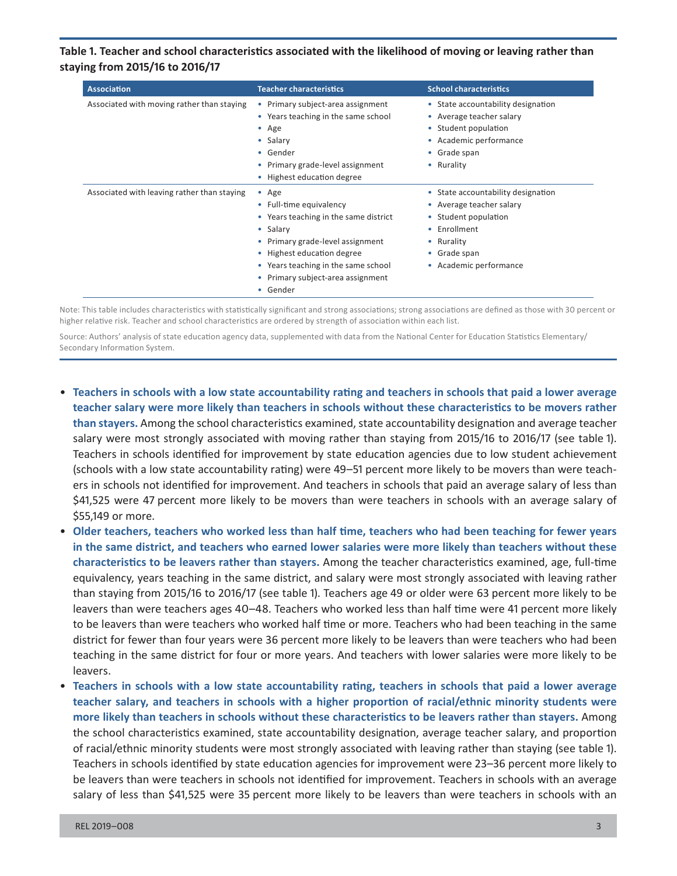**Table 1. Teacher and school characteristics associated with the likelihood of moving or leaving rather than staying from 2015/16 to 2016/17** 

| <b>Association</b>                          | <b>Teacher characteristics</b>                                                                                                                                                                                                                         | <b>School characteristics</b>                                                                                                                                  |
|---------------------------------------------|--------------------------------------------------------------------------------------------------------------------------------------------------------------------------------------------------------------------------------------------------------|----------------------------------------------------------------------------------------------------------------------------------------------------------------|
| Associated with moving rather than staying  | Primary subject-area assignment<br>$\bullet$<br>• Years teaching in the same school<br>$\bullet$ Age<br>• Salary<br>• Gender<br>Primary grade-level assignment<br>Highest education degree                                                             | • State accountability designation<br>• Average teacher salary<br>• Student population<br>• Academic performance<br>• Grade span<br>• Rurality                 |
| Associated with leaving rather than staying | Age<br>$\bullet$<br>• Full-time equivalency<br>• Years teaching in the same district<br>• Salary<br>• Primary grade-level assignment<br>• Highest education degree<br>• Years teaching in the same school<br>Primary subject-area assignment<br>Gender | • State accountability designation<br>• Average teacher salary<br>• Student population<br>• Enrollment<br>• Rurality<br>• Grade span<br>• Academic performance |

Note: This table includes characteristics with statistically significant and strong associations; strong associations are defined as those with 30 percent or higher relative risk. Teacher and school characteristics are ordered by strength of association within each list.

Source: Authors' analysis of state education agency data, supplemented with data from the National Center for Education Statistics Elementary/ Secondary Information System.

- • **Teachers in schools with a low state accountability rating and teachers in schools that paid a lower average teacher salary were more likely than teachers in schools without these characteristics to be movers rather than stayers.** Among the school characteristics examined, state accountability designation and average teacher salary were most strongly associated with moving rather than staying from 2015/16 to 2016/17 (see table 1). Teachers in schools identified for improvement by state education agencies due to low student achievement (schools with a low state accountability rating) were 49–51 percent more likely to be movers than were teachers in schools not identified for improvement. And teachers in schools that paid an average salary of less than \$41,525 were 47 percent more likely to be movers than were teachers in schools with an average salary of \$55,149 or more.
- • **Older teachers, teachers who worked less than half time, teachers who had been teaching for fewer years in the same district, and teachers who earned lower salaries were more likely than teachers without these characteristics to be leavers rather than stayers.** Among the teacher characteristics examined, age, full-time equivalency, years teaching in the same district, and salary were most strongly associated with leaving rather than staying from 2015/16 to 2016/17 (see table 1). Teachers age 49 or older were 63 percent more likely to be leavers than were teachers ages 40–48. Teachers who worked less than half time were 41 percent more likely to be leavers than were teachers who worked half time or more. Teachers who had been teaching in the same district for fewer than four years were 36 percent more likely to be leavers than were teachers who had been teaching in the same district for four or more years. And teachers with lower salaries were more likely to be leavers.
- Teachers in schools with a low state accountability rating, teachers in schools that paid a lower average **teacher salary, and teachers in schools with a higher proportion of racial/ethnic minority students were more likely than teachers in schools without these characteristics to be leavers rather than stayers.** Among the school characteristics examined, state accountability designation, average teacher salary, and proportion of racial/ethnic minority students were most strongly associated with leaving rather than staying (see table 1). Teachers in schools identified by state education agencies for improvement were 23–36 percent more likely to be leavers than were teachers in schools not identified for improvement. Teachers in schools with an average salary of less than \$41,525 were 35 percent more likely to be leavers than were teachers in schools with an